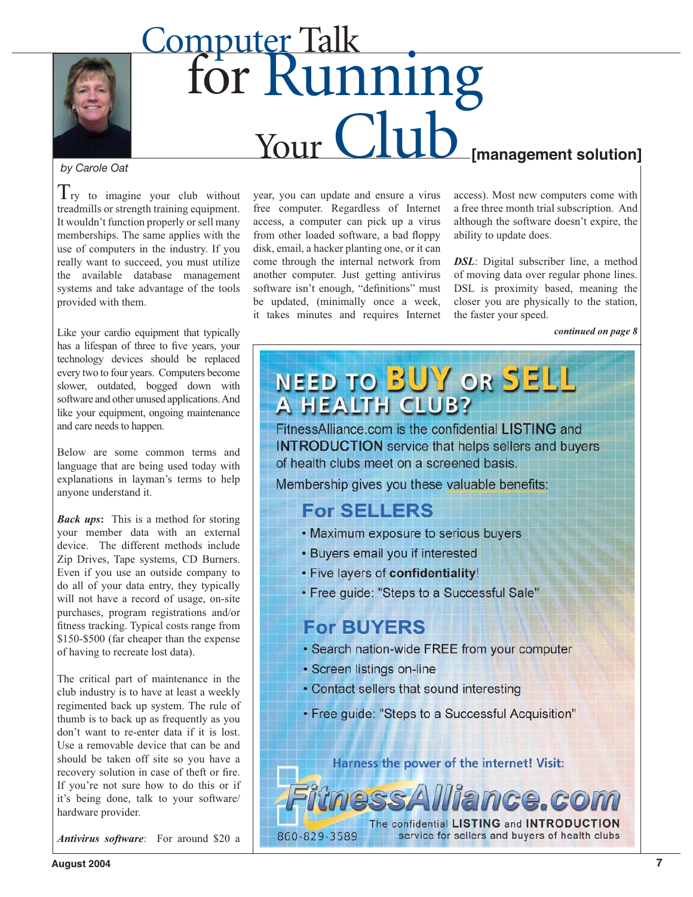

# **[management solution]** Computer Talk for Running  $\gamma_{\text{Our}}$   $Cl_{11}h$

### *by Carole Oat*

Try to imagine your club without treadmills or strength training equipment. It wouldn't function properly or sell many memberships. The same applies with the use of computers in the industry. If you really want to succeed, you must utilize the available database management systems and take advantage of the tools provided with them.

Like your cardio equipment that typically has a lifespan of three to five years, your technology devices should be replaced every two to four years. Computers become slower, outdated, bogged down with software and other unused applications. And like your equipment, ongoing maintenance and care needs to happen.

Below are some common terms and language that are being used today with explanations in layman's terms to help anyone understand it.

*Back ups***:** This is a method for storing your member data with an external device. The different methods include Zip Drives, Tape systems, CD Burners. Even if you use an outside company to do all of your data entry, they typically will not have a record of usage, on-site purchases, program registrations and/or fitness tracking. Typical costs range from \$150-\$500 (far cheaper than the expense of having to recreate lost data).

The critical part of maintenance in the club industry is to have at least a weekly regimented back up system. The rule of thumb is to back up as frequently as you don't want to re-enter data if it is lost. Use a removable device that can be and should be taken off site so you have a recovery solution in case of theft or fire. If you're not sure how to do this or if it's being done, talk to your software/ hardware provider.

*Antivirus software*: For around \$20 a

year, you can update and ensure a virus free computer. Regardless of Internet access, a computer can pick up a virus from other loaded software, a bad floppy disk, email, a hacker planting one, or it can come through the internal network from another computer. Just getting antivirus software isn't enough, "definitions" must be updated, (minimally once a week, it takes minutes and requires Internet access). Most new computers come with a free three month trial subscription. And although the software doesn't expire, the ability to update does.

*DSL*: Digital subscriber line, a method of moving data over regular phone lines. DSL is proximity based, meaning the closer you are physically to the station, the faster your speed.

*continued on page 8*

# NEED TO <mark>BUY</mark> OR <mark>SELL</mark><br>A HEALTH CLUB?

FitnessAlliance.com is the confidential LISTING and **INTRODUCTION** service that helps sellers and buyers of health clubs meet on a screened basis.

Membership gives you these valuable benefits:

# **For SELLERS**

- Maximum exposure to serious buyers
- Buyers email you if interested
- Five layers of confidentiality!
- Free guide: "Steps to a Successful Sale"

## **For BUYERS**

- · Search nation-wide FREE from your computer
- · Screen listings on-line
- Contact sellers that sound interesting
- · Free guide: "Steps to a Successful Acquisition"